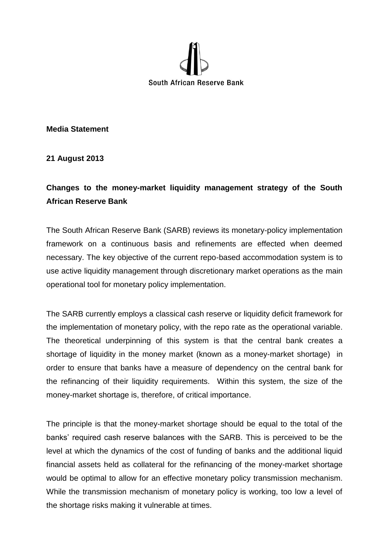

**Media Statement**

**21 August 2013**

## **Changes to the money-market liquidity management strategy of the South African Reserve Bank**

The South African Reserve Bank (SARB) reviews its monetary-policy implementation framework on a continuous basis and refinements are effected when deemed necessary. The key objective of the current repo-based accommodation system is to use active liquidity management through discretionary market operations as the main operational tool for monetary policy implementation.

The SARB currently employs a classical cash reserve or liquidity deficit framework for the implementation of monetary policy, with the repo rate as the operational variable. The theoretical underpinning of this system is that the central bank creates a shortage of liquidity in the money market (known as a money-market shortage) in order to ensure that banks have a measure of dependency on the central bank for the refinancing of their liquidity requirements. Within this system, the size of the money-market shortage is, therefore, of critical importance.

The principle is that the money-market shortage should be equal to the total of the banks' required cash reserve balances with the SARB. This is perceived to be the level at which the dynamics of the cost of funding of banks and the additional liquid financial assets held as collateral for the refinancing of the money-market shortage would be optimal to allow for an effective monetary policy transmission mechanism. While the transmission mechanism of monetary policy is working, too low a level of the shortage risks making it vulnerable at times.